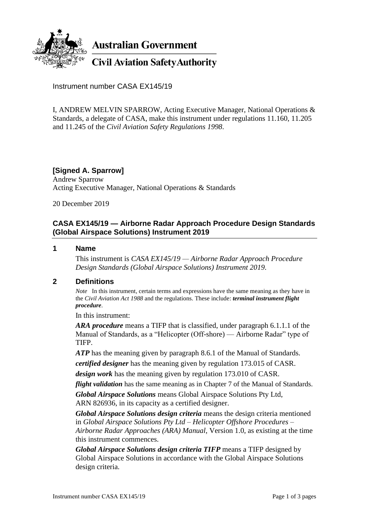

**Australian Government** 

**Civil Aviation Safety Authority** 

Instrument number CASA EX145/19

I, ANDREW MELVIN SPARROW, Acting Executive Manager, National Operations & Standards, a delegate of CASA, make this instrument under regulations 11.160, 11.205 and 11.245 of the *Civil Aviation Safety Regulations 1998*.

**[Signed A. Sparrow]** Andrew Sparrow Acting Executive Manager, National Operations & Standards

20 December 2019

## **CASA EX145/19 — Airborne Radar Approach Procedure Design Standards (Global Airspace Solutions) Instrument 2019**

#### **1 Name**

This instrument is *CASA EX145/19 — Airborne Radar Approach Procedure Design Standards (Global Airspace Solutions) Instrument 2019*.

#### **2 Definitions**

*Note* In this instrument, certain terms and expressions have the same meaning as they have in the *Civil Aviation Act 1988* and the regulations. These include: *terminal instrument flight procedure*.

In this instrument:

*ARA procedure* means a TIFP that is classified, under paragraph 6.1.1.1 of the Manual of Standards, as a "Helicopter (Off-shore) — Airborne Radar" type of TIFP.

*ATP* has the meaning given by paragraph 8.6.1 of the Manual of Standards.

*certified designer* has the meaning given by regulation 173.015 of CASR.

*design work* has the meaning given by regulation 173.010 of CASR.

*flight validation* has the same meaning as in Chapter 7 of the Manual of Standards. *Global Airspace Solutions* means Global Airspace Solutions Pty Ltd, ARN 826936, in its capacity as a certified designer.

*Global Airspace Solutions design criteria* means the design criteria mentioned in *Global Airspace Solutions Pty Ltd – Helicopter Offshore Procedures – Airborne Radar Approaches (ARA) Manual*, Version 1.0, as existing at the time this instrument commences.

*Global Airspace Solutions design criteria TIFP* means a TIFP designed by Global Airspace Solutions in accordance with the Global Airspace Solutions design criteria.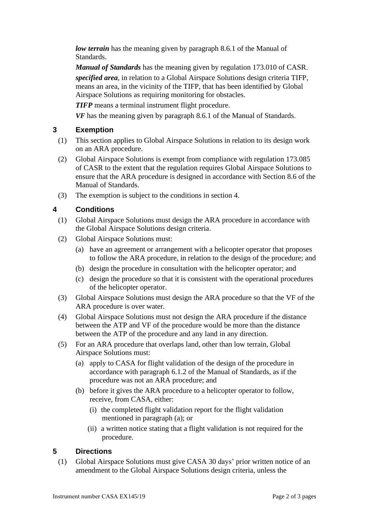*low terrain* has the meaning given by paragraph 8.6.1 of the Manual of Standards.

*Manual of Standards* has the meaning given by regulation 173.010 of CASR.

*specified area*, in relation to a Global Airspace Solutions design criteria TIFP, means an area, in the vicinity of the TIFP, that has been identified by Global Airspace Solutions as requiring monitoring for obstacles.

*TIFP* means a terminal instrument flight procedure.

*VF* has the meaning given by paragraph 8.6.1 of the Manual of Standards.

## **3 Exemption**

- (1) This section applies to Global Airspace Solutions in relation to its design work on an ARA procedure.
- (2) Global Airspace Solutions is exempt from compliance with regulation 173.085 of CASR to the extent that the regulation requires Global Airspace Solutions to ensure that the ARA procedure is designed in accordance with Section 8.6 of the Manual of Standards.
- (3) The exemption is subject to the conditions in section 4.

# **4 Conditions**

- (1) Global Airspace Solutions must design the ARA procedure in accordance with the Global Airspace Solutions design criteria.
- (2) Global Airspace Solutions must:
	- (a) have an agreement or arrangement with a helicopter operator that proposes to follow the ARA procedure, in relation to the design of the procedure; and
	- (b) design the procedure in consultation with the helicopter operator; and
	- (c) design the procedure so that it is consistent with the operational procedures of the helicopter operator.
- (3) Global Airspace Solutions must design the ARA procedure so that the VF of the ARA procedure is over water.
- (4) Global Airspace Solutions must not design the ARA procedure if the distance between the ATP and VF of the procedure would be more than the distance between the ATP of the procedure and any land in any direction.
- (5) For an ARA procedure that overlaps land, other than low terrain, Global Airspace Solutions must:
	- (a) apply to CASA for flight validation of the design of the procedure in accordance with paragraph 6.1.2 of the Manual of Standards, as if the procedure was not an ARA procedure; and
	- (b) before it gives the ARA procedure to a helicopter operator to follow, receive, from CASA, either:
		- (i) the completed flight validation report for the flight validation mentioned in paragraph (a); or
		- (ii) a written notice stating that a flight validation is not required for the procedure.

## **5 Directions**

(1) Global Airspace Solutions must give CASA 30 days' prior written notice of an amendment to the Global Airspace Solutions design criteria, unless the